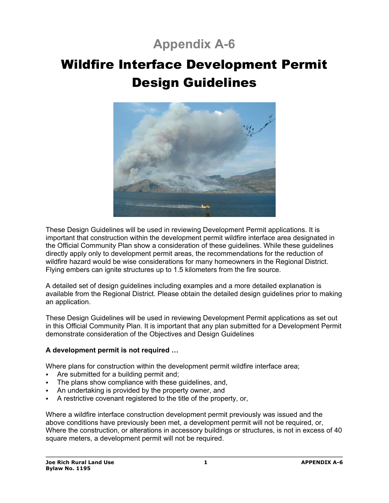## **Appendix A-6**

# Wildfire Interface Development Permit Design Guidelines



These Design Guidelines will be used in reviewing Development Permit applications. It is important that construction within the development permit wildfire interface area designated in the Official Community Plan show a consideration of these guidelines. While these guidelines directly apply only to development permit areas, the recommendations for the reduction of wildfire hazard would be wise considerations for many homeowners in the Regional District. Flying embers can ignite structures up to 1.5 kilometers from the fire source.

A detailed set of design guidelines including examples and a more detailed explanation is available from the Regional District. Please obtain the detailed design guidelines prior to making an application.

These Design Guidelines will be used in reviewing Development Permit applications as set out in this Official Community Plan. It is important that any plan submitted for a Development Permit demonstrate consideration of the Objectives and Design Guidelines

## **A development permit is not required …**

Where plans for construction within the development permit wildfire interface area;

- Are submitted for a building permit and;
- The plans show compliance with these guidelines, and,
- An undertaking is provided by the property owner, and
- A restrictive covenant registered to the title of the property, or,

Where a wildfire interface construction development permit previously was issued and the above conditions have previously been met, a development permit will not be required, or, Where the construction, or alterations in accessory buildings or structures, is not in excess of 40 square meters, a development permit will not be required.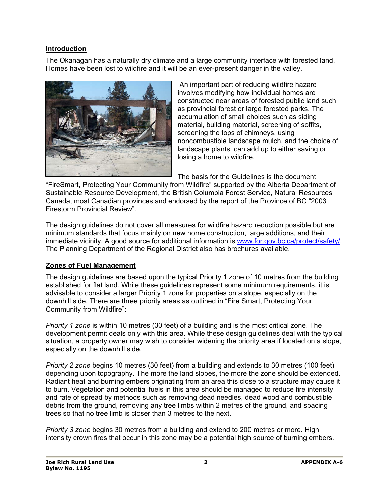## **Introduction**

The Okanagan has a naturally dry climate and a large community interface with forested land. Homes have been lost to wildfire and it will be an ever-present danger in the valley.



 An important part of reducing wildfire hazard involves modifying how individual homes are constructed near areas of forested public land such as provincial forest or large forested parks. The accumulation of small choices such as siding material, building material, screening of soffits, screening the tops of chimneys, using noncombustible landscape mulch, and the choice of landscape plants, can add up to either saving or losing a home to wildfire.

The basis for the Guidelines is the document

"FireSmart, Protecting Your Community from Wildfire" supported by the Alberta Department of Sustainable Resource Development, the British Columbia Forest Service, Natural Resources Canada, most Canadian provinces and endorsed by the report of the Province of BC "2003 Firestorm Provincial Review".

The design guidelines do not cover all measures for wildfire hazard reduction possible but are minimum standards that focus mainly on new home construction, large additions, and their immediate vicinity. A good source for additional information is www.for.gov.bc.ca/protect/safety/. The Planning Department of the Regional District also has brochures available.

## **Zones of Fuel Management**

The design guidelines are based upon the typical Priority 1 zone of 10 metres from the building established for flat land. While these guidelines represent some minimum requirements, it is advisable to consider a larger Priority 1 zone for properties on a slope, especially on the downhill side. There are three priority areas as outlined in "Fire Smart, Protecting Your Community from Wildfire":

*Priority 1 zone* is within 10 metres (30 feet) of a building and is the most critical zone. The development permit deals only with this area. While these design guidelines deal with the typical situation, a property owner may wish to consider widening the priority area if located on a slope, especially on the downhill side.

*Priority 2 zone* begins 10 metres (30 feet) from a building and extends to 30 metres (100 feet) depending upon topography. The more the land slopes, the more the zone should be extended. Radiant heat and burning embers originating from an area this close to a structure may cause it to burn. Vegetation and potential fuels in this area should be managed to reduce fire intensity and rate of spread by methods such as removing dead needles, dead wood and combustible debris from the ground, removing any tree limbs within 2 metres of the ground, and spacing trees so that no tree limb is closer than 3 metres to the next.

*Priority 3 zone* begins 30 metres from a building and extend to 200 metres or more. High intensity crown fires that occur in this zone may be a potential high source of burning embers.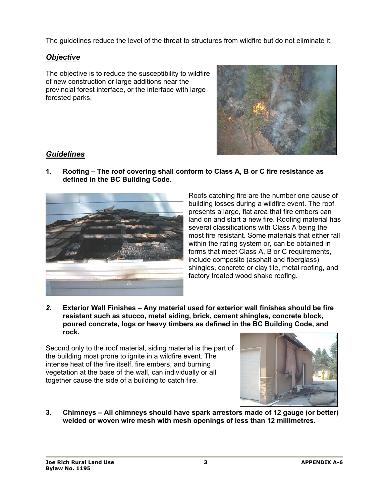The guidelines reduce the level of the threat to structures from wildfire but do not eliminate it.

## *Objective*

The objective is to reduce the susceptibility to wildfire of new construction or large additions near the provincial forest interface, or the interface with large forested parks.



## *Guidelines*

**1. Roofing – The roof covering shall conform to Class A, B or C fire resistance as defined in the BC Building Code.** 



Roofs catching fire are the number one cause of building losses during a wildfire event. The roof presents a large, flat area that fire embers can land on and start a new fire. Roofing material has several classifications with Class A being the most fire resistant. Some materials that either fall within the rating system or, can be obtained in forms that meet Class A, B or C requirements, include composite (asphalt and fiberglass) shingles, concrete or clay tile, metal roofing, and factory treated wood shake roofing.

*2.* **Exterior Wall Finishes – Any material used for exterior wall finishes should be fire resistant such as stucco, metal siding, brick, cement shingles, concrete block, poured concrete, logs or heavy timbers as defined in the BC Building Code, and rock.** 

Second only to the roof material, siding material is the part of the building most prone to ignite in a wildfire event. The intense heat of the fire itself, fire embers, and burning vegetation at the base of the wall, can individually or all together cause the side of a building to catch fire.



**3. Chimneys – All chimneys should have spark arrestors made of 12 gauge (or better) welded or woven wire mesh with mesh openings of less than 12 millimetres.**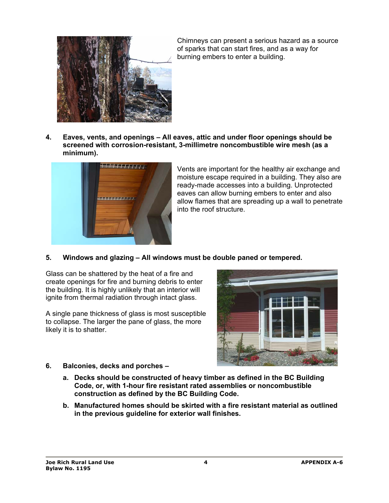

Chimneys can present a serious hazard as a source of sparks that can start fires, and as a way for burning embers to enter a building.

**4. Eaves, vents, and openings – All eaves, attic and under floor openings should be screened with corrosion-resistant, 3-millimetre noncombustible wire mesh (as a minimum).** 



Vents are important for the healthy air exchange and moisture escape required in a building. They also are ready-made accesses into a building. Unprotected eaves can allow burning embers to enter and also allow flames that are spreading up a wall to penetrate into the roof structure.

**5. Windows and glazing – All windows must be double paned or tempered.** 

Glass can be shattered by the heat of a fire and create openings for fire and burning debris to enter the building. It is highly unlikely that an interior will ignite from thermal radiation through intact glass.

A single pane thickness of glass is most susceptible to collapse. The larger the pane of glass, the more likely it is to shatter.



- **6. Balconies, decks and porches** 
	- **a. Decks should be constructed of heavy timber as defined in the BC Building Code, or, with 1-hour fire resistant rated assemblies or noncombustible construction as defined by the BC Building Code.**
	- **b. Manufactured homes should be skirted with a fire resistant material as outlined in the previous guideline for exterior wall finishes.**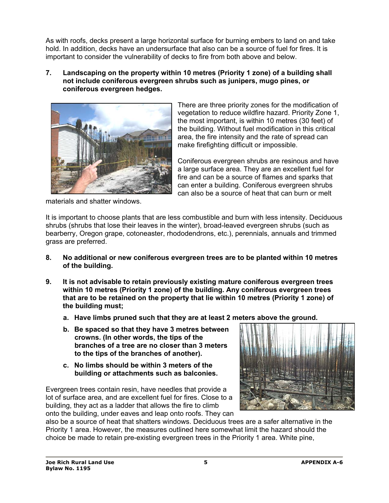As with roofs, decks present a large horizontal surface for burning embers to land on and take hold. In addition, decks have an undersurface that also can be a source of fuel for fires. It is important to consider the vulnerability of decks to fire from both above and below.

**7. Landscaping on the property within 10 metres (Priority 1 zone) of a building shall not include coniferous evergreen shrubs such as junipers, mugo pines, or coniferous evergreen hedges.** 



There are three priority zones for the modification of vegetation to reduce wildfire hazard. Priority Zone 1, the most important, is within 10 metres (30 feet) of the building. Without fuel modification in this critical area, the fire intensity and the rate of spread can make firefighting difficult or impossible.

Coniferous evergreen shrubs are resinous and have a large surface area. They are an excellent fuel for fire and can be a source of flames and sparks that can enter a building. Coniferous evergreen shrubs can also be a source of heat that can burn or melt

materials and shatter windows.

It is important to choose plants that are less combustible and burn with less intensity. Deciduous shrubs (shrubs that lose their leaves in the winter), broad-leaved evergreen shrubs (such as bearberry, Oregon grape, cotoneaster, rhododendrons, etc.), perennials, annuals and trimmed grass are preferred.

- **8. No additional or new coniferous evergreen trees are to be planted within 10 metres of the building.**
- **9. It is not advisable to retain previously existing mature coniferous evergreen trees within 10 metres (Priority 1 zone) of the building. Any coniferous evergreen trees that are to be retained on the property that lie within 10 metres (Priority 1 zone) of the building must;** 
	- **a. Have limbs pruned such that they are at least 2 meters above the ground.**
	- **b. Be spaced so that they have 3 metres between crowns. (In other words, the tips of the branches of a tree are no closer than 3 meters to the tips of the branches of another).**
	- **c. No limbs should be within 3 meters of the building or attachments such as balconies.**

Evergreen trees contain resin, have needles that provide a lot of surface area, and are excellent fuel for fires. Close to a building, they act as a ladder that allows the fire to climb onto the building, under eaves and leap onto roofs. They can



also be a source of heat that shatters windows. Deciduous trees are a safer alternative in the Priority 1 area. However, the measures outlined here somewhat limit the hazard should the choice be made to retain pre-existing evergreen trees in the Priority 1 area. White pine,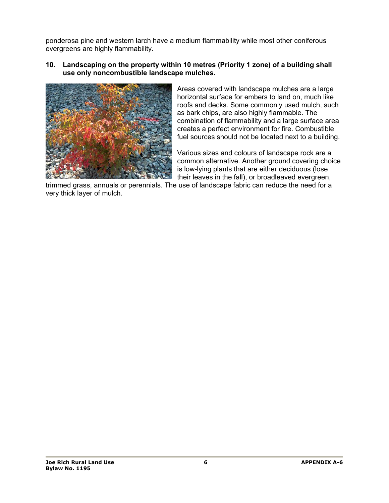ponderosa pine and western larch have a medium flammability while most other coniferous evergreens are highly flammability.

**10. Landscaping on the property within 10 metres (Priority 1 zone) of a building shall use only noncombustible landscape mulches.** 



Areas covered with landscape mulches are a large horizontal surface for embers to land on, much like roofs and decks. Some commonly used mulch, such as bark chips, are also highly flammable. The combination of flammability and a large surface area creates a perfect environment for fire. Combustible fuel sources should not be located next to a building.

Various sizes and colours of landscape rock are a common alternative. Another ground covering choice is low-lying plants that are either deciduous (lose their leaves in the fall), or broadleaved evergreen,

trimmed grass, annuals or perennials. The use of landscape fabric can reduce the need for a very thick layer of mulch.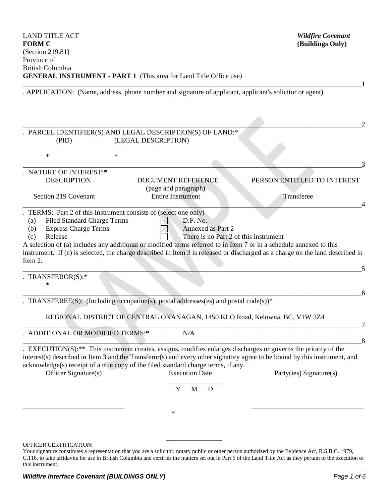| <b>FORM C</b>                                                                                               |                     | (Buildings Only)                                                                   |                                                                                                                               |
|-------------------------------------------------------------------------------------------------------------|---------------------|------------------------------------------------------------------------------------|-------------------------------------------------------------------------------------------------------------------------------|
| (Section 219.81)<br>Province of                                                                             |                     |                                                                                    |                                                                                                                               |
| <b>British Columbia</b>                                                                                     |                     |                                                                                    |                                                                                                                               |
|                                                                                                             |                     | <b>GENERAL INSTRUMENT - PART 1</b> (This area for Land Title Office use)           |                                                                                                                               |
|                                                                                                             |                     |                                                                                    | . APPLICATION: (Name, address, phone number and signature of applicant, applicant's solicitor or agent)                       |
|                                                                                                             |                     |                                                                                    |                                                                                                                               |
|                                                                                                             |                     |                                                                                    |                                                                                                                               |
|                                                                                                             |                     |                                                                                    |                                                                                                                               |
| (PID)                                                                                                       | (LEGAL DESCRIPTION) | PARCEL IDENTIFIER(S) AND LEGAL DESCRIPTION(S) OF LAND:*                            |                                                                                                                               |
| $\ast$                                                                                                      | $\ast$              |                                                                                    |                                                                                                                               |
|                                                                                                             |                     |                                                                                    |                                                                                                                               |
| <b>NATURE OF INTEREST:*</b>                                                                                 |                     |                                                                                    |                                                                                                                               |
| <b>DESCRIPTION</b>                                                                                          |                     | <b>DOCUMENT REFERENCE</b><br>(page and paragraph)                                  | PERSON ENTITLED TO INTEREST                                                                                                   |
| Section 219 Covenant                                                                                        |                     | <b>Entire Instrument</b>                                                           | Transferee                                                                                                                    |
|                                                                                                             |                     |                                                                                    |                                                                                                                               |
| TERMS: Part 2 of this Instrument consists of (select one only)<br><b>Filed Standard Charge Terms</b><br>(a) |                     | D.F. No.                                                                           |                                                                                                                               |
| <b>Express Charge Terms</b><br>(b)                                                                          |                     | Annexed as Part 2                                                                  |                                                                                                                               |
| Release<br>(c)                                                                                              |                     | There is no Part 2 of this instrument                                              |                                                                                                                               |
|                                                                                                             |                     |                                                                                    | A selection of (a) includes any additional or modified terms referred to in Item 7 or in a schedule annexed to this           |
|                                                                                                             |                     |                                                                                    | instrument. If (c) is selected, the charge described in Item 3 is released or discharged as a charge on the land described in |
| Item 2.                                                                                                     |                     |                                                                                    |                                                                                                                               |
| TRANSFEROR(S):*                                                                                             |                     |                                                                                    |                                                                                                                               |
| $\ast$                                                                                                      |                     |                                                                                    |                                                                                                                               |
|                                                                                                             |                     |                                                                                    | 6                                                                                                                             |
|                                                                                                             |                     | TRANSFEREE(S): (Including occupation(s), postal addresses(es) and postal code(s))* |                                                                                                                               |
|                                                                                                             |                     |                                                                                    | REGIONAL DISTRICT OF CENTRAL OKANAGAN, 1450 KLO Road, Kelowna, BC, V1W 3Z4                                                    |
|                                                                                                             |                     |                                                                                    |                                                                                                                               |
| ADDITIONAL OR MODIFIED TERMS:*                                                                              |                     | N/A                                                                                |                                                                                                                               |
|                                                                                                             |                     |                                                                                    | $_{.8}$<br>$EXECUTION(S):$ ** This instrument creates, assigns, modifies enlarges discharges or governs the priority of the   |
|                                                                                                             |                     |                                                                                    | interest(s) described in Item 3 and the Transferor(s) and every other signatory agree to be bound by this instrument, and     |
|                                                                                                             |                     | acknowledge(s) receipt of a true copy of the filed standard charge terms, if any.  |                                                                                                                               |
| Officer Signature(s)                                                                                        |                     | <b>Execution Date</b>                                                              | Party(ies) Signature(s)                                                                                                       |
|                                                                                                             |                     | $\mathbf{M}$<br>Y<br>D                                                             |                                                                                                                               |
|                                                                                                             |                     |                                                                                    |                                                                                                                               |
|                                                                                                             |                     | $\ast$                                                                             |                                                                                                                               |
|                                                                                                             |                     |                                                                                    |                                                                                                                               |
|                                                                                                             |                     |                                                                                    |                                                                                                                               |
|                                                                                                             |                     |                                                                                    |                                                                                                                               |

LAND TITLE ACT *Wildfire Covenant*

OFFICER CERTIFICATION:

Your signature constitutes a representation that you are a solicitor, notary public or other person authorized by the Evidence Act, R.S.B.C. 1979, C.116, to take affidavits for use in British Columbia and certifies the matters set out in Part 5 of the Land Title Act as they pertain to the execution of this instrument.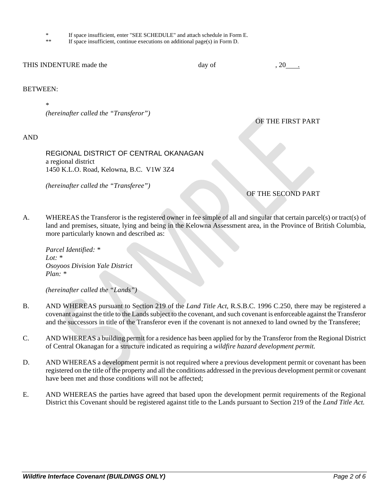- \* If space insufficient, enter "SEE SCHEDULE" and attach schedule in Form E.
- If space insufficient, continue executions on additional page(s) in Form  $D$ .

| THIS INDENTURE made the | dav of | . 20 |
|-------------------------|--------|------|
|                         |        |      |

#### BETWEEN:

\* *(hereinafter called the "Transferor")*

### AND

REGIONAL DISTRICT OF CENTRAL OKANAGAN a regional district 1450 K.L.O. Road, Kelowna, B.C. V1W 3Z4

*(hereinafter called the "Transferee")*

OF THE FIRST PART

# OF THE SECOND PART

A. WHEREAS the Transferor is the registered owner in fee simple of all and singular that certain parcel(s) or tract(s) of land and premises, situate, lying and being in the Kelowna Assessment area, in the Province of British Columbia, more particularly known and described as:

*Parcel Identified: \* Lot: \* Osoyoos Division Yale District Plan: \**

*(hereinafter called the "Lands")*

- B. AND WHEREAS pursuant to Section 219 of the *Land Title Act*, R.S.B.C. 1996 C.250, there may be registered a covenant against the title to the Lands subject to the covenant, and such covenant is enforceable against the Transferor and the successors in title of the Transferor even if the covenant is not annexed to land owned by the Transferee;
- C. AND WHEREAS a building permit for a residence has been applied for by the Transferor from the Regional District of Central Okanagan for a structure indicated as requiring a *wildfire hazard development permit.*
- D. AND WHEREAS a development permit is not required where a previous development permit or covenant has been registered on the title of the property and all the conditions addressed in the previous development permit or covenant have been met and those conditions will not be affected;
- E. AND WHEREAS the parties have agreed that based upon the development permit requirements of the Regional District this Covenant should be registered against title to the Lands pursuant to Section 219 of the *Land Title Act.*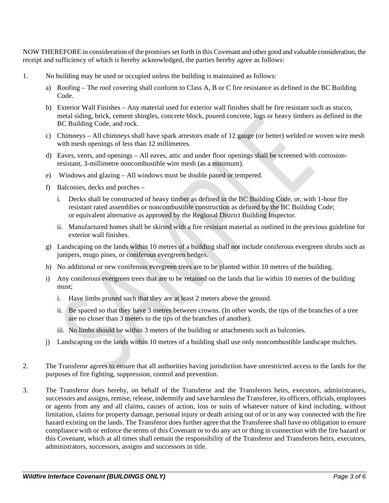NOW THEREFORE in consideration of the promises set forth in this Covenant and other good and valuable consideration, the receipt and sufficiency of which is hereby acknowledged, the parties hereby agree as follows:

- 1. No building may be used or occupied unless the building is maintained as follows:
	- a) Roofing The roof covering shall conform to Class A, B or C fire resistance as defined in the BC Building Code.
	- b) Exterior Wall Finishes Any material used for exterior wall finishes shall be fire resistant such as stucco, metal siding, brick, cement shingles, concrete block, poured concrete, logs or heavy timbers as defined in the BC Building Code, and rock.
	- c) Chimneys All chimneys shall have spark arrestors made of 12 gauge (or better) welded or woven wire mesh with mesh openings of less than 12 millimetres.
	- d) Eaves, vents, and openings All eaves, attic and under floor openings shall be screened with corrosionresistant, 3-millimetre noncombustible wire mesh (as a minimum).
	- e) Windows and glazing All windows must be double paned or tempered.
	- f) Balconies, decks and porches
		- i. Decks shall be constructed of heavy timber as defined in the BC Building Code, or, with 1-hour fire resistant rated assemblies or noncombustible construction as defined by the BC Building Code; or equivalent alternative as approved by the Regional District Building Inspector.
		- ii. Manufactured homes shall be skirted with a fire resistant material as outlined in the previous guideline for exterior wall finishes.
	- g) Landscaping on the lands within 10 metres of a building shall not include coniferous evergreen shrubs such as junipers, mugo pines, or coniferous evergreen hedges.
	- h) No additional or new coniferous evergreen trees are to be planted within 10 metres of the building.
	- i) Any coniferous evergreen trees that are to be retained on the lands that lie within 10 metres of the building must;
		- i. Have limbs pruned such that they are at least 2 meters above the ground.
		- ii. Be spaced so that they have 3 metres between crowns. (In other words, the tips of the branches of a tree are no closer than 3 meters to the tips of the branches of another).
		- iii. No limbs should be within 3 meters of the building or attachments such as balconies.
	- j) Landscaping on the lands within 10 metres of a building shall use only noncombustible landscape mulches.
- 2. The Transferor agrees to ensure that all authorities having jurisdiction have unrestricted access to the lands for the purposes of fire fighting, suppression, control and prevention.
- 3. The Transferor does hereby, on behalf of the Transferor and the Transferors heirs, executors, administrators, successors and assigns, remise, release, indemnify and save harmless the Transferee, its officers, officials, employees or agents from any and all claims, causes of action, loss or suits of whatever nature of kind including, without limitation, claims for property damage, personal injury or death arising out of or in any way connected with the fire hazard existing on the lands. The Transferor does further agree that the Transferee shall have no obligation to ensure compliance with or enforce the terms of this Covenant or to do any act or thing in connection with the fire hazard or this Covenant, which at all times shall remain the responsibility of the Transferor and Transferors heirs, executors, administrators, successors, assigns and successors in title.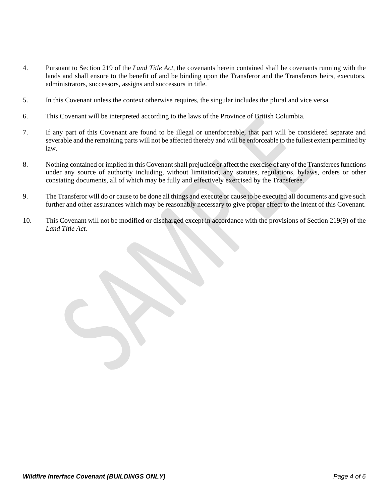- 4. Pursuant to Section 219 of the *Land Title Act*, the covenants herein contained shall be covenants running with the lands and shall ensure to the benefit of and be binding upon the Transferor and the Transferors heirs, executors, administrators, successors, assigns and successors in title.
- 5. In this Covenant unless the context otherwise requires, the singular includes the plural and vice versa.
- 6. This Covenant will be interpreted according to the laws of the Province of British Columbia.
- 7. If any part of this Covenant are found to be illegal or unenforceable, that part will be considered separate and severable and the remaining parts will not be affected thereby and will be enforceable to the fullest extent permitted by law.
- 8. Nothing contained or implied in this Covenant shall prejudice or affect the exercise of any of the Transferees functions under any source of authority including, without limitation, any statutes, regulations, bylaws, orders or other constating documents, all of which may be fully and effectively exercised by the Transferee.
- 9. The Transferor will do or cause to be done all things and execute or cause to be executed all documents and give such further and other assurances which may be reasonably necessary to give proper effect to the intent of this Covenant.
- 10. This Covenant will not be modified or discharged except in accordance with the provisions of Section 219(9) of the *Land Title Act.*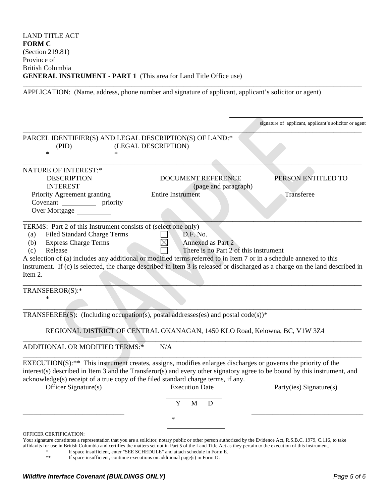APPLICATION: (Name, address, phone number and signature of applicant, applicant's solicitor or agent)

\_\_\_\_\_\_\_\_\_\_\_\_\_\_\_\_\_\_\_\_\_\_\_\_\_\_\_\_\_\_\_\_\_\_\_\_\_\_\_\_\_\_\_\_\_\_\_\_\_\_\_\_\_\_\_\_\_\_\_\_\_\_\_\_\_\_\_\_\_\_\_\_\_\_\_\_\_\_\_\_\_\_\_\_\_\_\_\_\_\_\_\_\_\_\_\_\_

|                                                                                                                                                                                                                                                                                                                                                                                                                                        |                                                                               | signature of applicant, applicant's solicitor or agent |
|----------------------------------------------------------------------------------------------------------------------------------------------------------------------------------------------------------------------------------------------------------------------------------------------------------------------------------------------------------------------------------------------------------------------------------------|-------------------------------------------------------------------------------|--------------------------------------------------------|
| PARCEL IDENTIFIER(S) AND LEGAL DESCRIPTION(S) OF LAND:*<br>(PID)<br>$\ast$<br>$\ast$                                                                                                                                                                                                                                                                                                                                                   | (LEGAL DESCRIPTION)                                                           |                                                        |
|                                                                                                                                                                                                                                                                                                                                                                                                                                        |                                                                               |                                                        |
| <b>NATURE OF INTEREST:*</b><br><b>DESCRIPTION</b><br><b>INTEREST</b><br>Priority Agreement granting<br>Covenant _____________ priority<br>Over Mortgage                                                                                                                                                                                                                                                                                | <b>DOCUMENT REFERENCE</b><br>(page and paragraph)<br><b>Entire Instrument</b> | PERSON ENTITLED TO<br>Transferee                       |
| TERMS: Part 2 of this Instrument consists of (select one only)<br><b>Filed Standard Charge Terms</b><br>(a)<br><b>Express Charge Terms</b><br>(b)<br>Release<br>(c)<br>A selection of (a) includes any additional or modified terms referred to in Item 7 or in a schedule annexed to this<br>instrument. If (c) is selected, the charge described in Item 3 is released or discharged as a charge on the land described in<br>Item 2. | D.F. No.<br>Annexed as Part 2<br>There is no Part 2 of this instrument        |                                                        |
| TRANSFEROR(S):*<br>$\ast$                                                                                                                                                                                                                                                                                                                                                                                                              |                                                                               |                                                        |
| TRANSFEREE(S): (Including occupation(s), postal addresses(es) and postal code(s))*                                                                                                                                                                                                                                                                                                                                                     |                                                                               |                                                        |
|                                                                                                                                                                                                                                                                                                                                                                                                                                        | REGIONAL DISTRICT OF CENTRAL OKANAGAN, 1450 KLO Road, Kelowna, BC, V1W 3Z4    |                                                        |
| ADDITIONAL OR MODIFIED TERMS:*                                                                                                                                                                                                                                                                                                                                                                                                         | N/A                                                                           |                                                        |
| EXECUTION(S): <sup>**</sup> This instrument creates, assigns, modifies enlarges discharges or governs the priority of the<br>interest(s) described in Item 3 and the Transferor(s) and every other signatory agree to be bound by this instrument, and<br>acknowledge(s) receipt of a true copy of the filed standard charge terms, if any.<br>Officer Signature(s)                                                                    | <b>Execution Date</b><br>Y<br>D<br>M                                          | Party(ies) Signature(s)                                |
|                                                                                                                                                                                                                                                                                                                                                                                                                                        | $\ast$                                                                        |                                                        |
| OFFICER CERTIFICATION:<br>Your signature constitutes a representation that you are a solicitor, notary public or other person authorized by the Evidence Act, R.S.B.C. 1979, C.116, to take<br>affidavits for use in British Columbia and certifies the matters set out in Part 5 of the Land Title Act as they pertain to the execution of this instrument.                                                                           | If space insufficient, enter "SEE SCHEDULE" and attach schedule in Form E.    |                                                        |

\*\* If space insufficient, continue executions on additional page(s) in Form D.